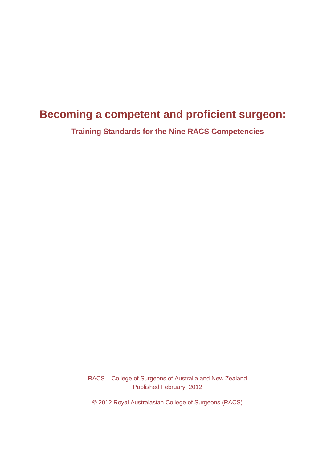# **Becoming a competent and proficient surgeon:**

**Training Standards for the Nine RACS Competencies**

RACS – College of Surgeons of Australia and New Zealand Published February, 2012

© 2012 Royal Australasian College of Surgeons (RACS)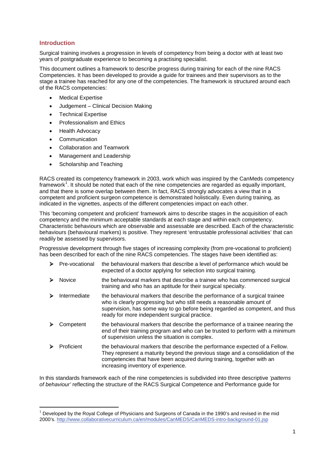#### **Introduction**

Surgical training involves a progression in levels of competency from being a doctor with at least two years of postgraduate experience to becoming a practising specialist.

This document outlines a framework to describe progress during training for each of the nine RACS Competencies. It has been developed to provide a guide for trainees and their supervisors as to the stage a trainee has reached for any one of the competencies. The framework is structured around each of the RACS competencies:

- Medical Expertise
- x Judgement Clinical Decision Making
- Technical Expertise
- Professionalism and Ethics
- Health Advocacy
- Communication
- Collaboration and Teamwork
- Management and Leadership
- Scholarship and Teaching

RACS created its competency framework in 2003, work which was inspired by the CanMeds competency framework<sup>1</sup>. It should be noted that each of the nine competencies are regarded as equally important, and that there is some overlap between them. In fact, RACS strongly advocates a view that in a competent and proficient surgeon competence is demonstrated holistically. Even during training, as indicated in the vignettes, aspects of the different competencies impact on each other.

This 'becoming competent and proficient' framework aims to describe stages in the acquisition of each competency and the minimum acceptable standards at each stage and within each competency. Characteristic behaviours which are observable and assessable are described. Each of the characteristic behaviours (behavioural markers) is positive. They represent 'entrustable professional activities' that can readily be assessed by supervisors.

Progressive development through five stages of increasing complexity (from pre-vocational to proficient) has been described for each of the nine RACS competencies. The stages have been identified as:

| ⋗ | Pre-vocational | the behavioural markers that describe a level of performance which would be<br>expected of a doctor applying for selection into surgical training.                                                                                                                                    |
|---|----------------|---------------------------------------------------------------------------------------------------------------------------------------------------------------------------------------------------------------------------------------------------------------------------------------|
|   | Novice         | the behavioural markers that describe a trainee who has commenced surgical<br>training and who has an aptitude for their surgical specialty.                                                                                                                                          |
|   | Intermediate   | the behavioural markers that describe the performance of a surgical trainee<br>who is clearly progressing but who still needs a reasonable amount of<br>supervision, has some way to go before being regarded as competent, and thus<br>ready for more independent surgical practice. |
|   | Competent      | the behavioural markers that describe the performance of a trainee nearing the<br>end of their training program and who can be trusted to perform with a minimum<br>of supervision unless the situation is complex.                                                                   |
|   | Proficient     | the behavioural markers that describe the performance expected of a Fellow.<br>They represent a maturity beyond the previous stage and a consolidation of the<br>competencies that have been acquired during training, together with an<br>increasing inventory of experience.        |

In this standards framework each of the nine competencies is subdivided into three descriptive *'patterns of behaviour'* reflecting the structure of the RACS Surgical Competence and Performance guide for

 $1$  Developed by the Royal College of Physicians and Surgeons of Canada in the 1990's and revised in the mid 2000's. http://www.collaborativecurriculum.ca/en/modules/CanMEDS/CanMEDS-intro-background-01.jsp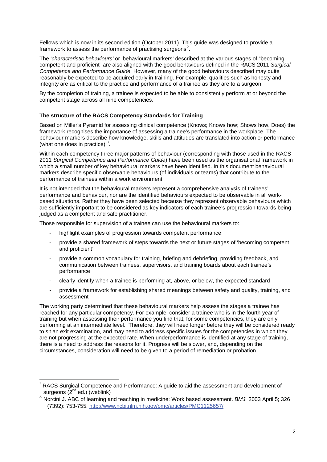Fellows which is now in its second edition (October 2011). This guide was designed to provide a framework to assess the performance of practising surgeons<sup>2</sup>.

The '*characteristic behaviours'* or 'behavioural markers' described at the various stages of "becoming competent and proficient" are also aligned with the good behaviours defined in the RACS 2011 *Surgical Competence and Performance Guide*. However, many of the good behaviours described may quite reasonably be expected to be acquired early in training. For example, qualities such as honesty and integrity are as critical to the practice and performance of a trainee as they are to a surgeon.

By the completion of training, a trainee is expected to be able to consistently perform at or beyond the competent stage across all nine competencies.

#### **The structure of the RACS Competency Standards for Training**

Based on Miller's Pyramid for assessing clinical competence (Knows; Knows how; Shows how, Does) the framework recognises the importance of assessing a trainee's performance in the workplace. The behaviour markers describe how knowledge, skills and attitudes are translated into action or performance (what one does in practice)  $3$ .

Within each competency three major patterns of behaviour (corresponding with those used in the RACS 2011 *Surgical Competence and Performance Guide*) have been used as the organisational framework in which a small number of key behavioural markers have been identified. In this document behavioural markers describe specific observable behaviours (of individuals or teams) that contribute to the performance of trainees within a work environment.

It is not intended that the behavioural markers represent a comprehensive analysis of trainees' performance and behaviour, nor are the identified behaviours expected to be observable in all workbased situations. Rather they have been selected because they represent observable behaviours which are sufficiently important to be considered as key indicators of each trainee's progression towards being judged as a competent and safe practitioner.

Those responsible for supervision of a trainee can use the behavioural markers to:

- highlight examples of progression towards competent performance
- provide a shared framework of steps towards the next or future stages of 'becoming competent and proficient'
- provide a common vocabulary for training, briefing and debriefing, providing feedback, and communication between trainees, supervisors, and training boards about each trainee's performance
- clearly identify when a trainee is performing at, above, or below, the expected standard
- provide a framework for establishing shared meanings between safety and quality, training, and assessment

The working party determined that these behavioural markers help assess the stages a trainee has reached for any particular competency. For example, consider a trainee who is in the fourth year of training but when assessing their performance you find that, for some competencies, they are only performing at an intermediate level. Therefore, they will need longer before they will be considered ready to sit an exit examination, and may need to address specific issues for the competencies in which they are not progressing at the expected rate. When underperformance is identified at any stage of training, there is a need to address the reasons for it. Progress will be slower, and, depending on the circumstances, consideration will need to be given to a period of remediation or probation.

 $2$  RACS Surgical Competence and Performance: A guide to aid the assessment and development of surgeons  $(2^{nd}$  ed.) (weblink)

<sup>3</sup> Norcini J. ABC of learning and teaching in medicine: Work based assessment. *BMJ.* 2003 April 5; 326 (7392): 753-755. http://www.ncbi.nlm.nih.gov/pmc/articles/PMC1125657/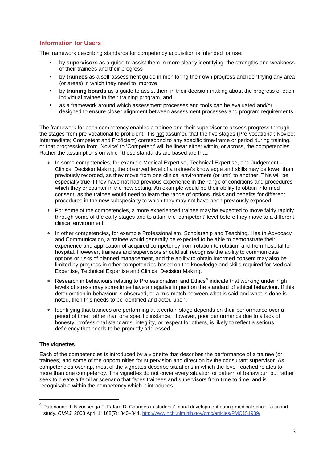#### **Information for Users**

The framework describing standards for competency acquisition is intended for use:

- by **supervisors** as a guide to assist them in more clearly identifying the strengths and weakness of their trainees and their progress
- by **trainees** as a self-assessment guide in monitoring their own progress and identifying any area (or areas) in which they need to improve
- by **training boards** as a guide to assist them in their decision making about the progress of each individual trainee in their training program, and
- as a framework around which assessment processes and tools can be evaluated and/or designed to ensure closer alignment between assessment processes and program requirements.

The framework for each competency enables a trainee and their supervisor to assess progress through the stages from pre-vocational to proficient. It is not assumed that the five stages (Pre-vocational; Novice; Intermediate; Competent and Proficient) correspond to any specific time-frame or period during training, or that progression from 'Novice' to 'Competent' will be linear either within, or across, the competencies. Rather the assumptions on which these standards are based are that:

- In some competencies, for example Medical Expertise, Technical Expertise, and Judgement Clinical Decision Making, the observed level of a trainee's knowledge and skills may be lower than previously recorded, as they move from one clinical environment (or unit) to another. This will be especially true if they have not had previous experience in the range of conditions and procedures which they encounter in the new setting. An example would be their ability to obtain informed consent, as the trainee would need to learn the range of options, risks and benefits for different procedures in the new subspecialty to which they may not have been previously exposed.
- For some of the competencies, a more experienced trainee may be expected to move fairly rapidly through some of the early stages and to attain the 'competent' level before they move to a different clinical environment.
- In other competencies, for example Professionalism, Scholarship and Teaching, Health Advocacy and Communication, a trainee would generally be expected to be able to demonstrate their experience and application of acquired competency from rotation to rotation, and from hospital to hospital. However, trainees and supervisors should still recognise the ability to communicate options or risks of planned management, and the ability to obtain informed consent may also be limited by progress in other competencies based on the knowledge and skills required for Medical Expertise, Technical Expertise and Clinical Decision Making.
- Research in behaviours relating to Professionalism and  $E$ thics<sup>4</sup> indicate that working under high levels of stress may sometimes have a negative impact on the standard of ethical behaviour. If this deterioration in behaviour is observed, or a mis-match between what is said and what is done is noted, then this needs to be identified and acted upon.
- Identifying that trainees are performing at a certain stage depends on their performance over a period of time, rather than one specific instance. However, poor performance due to a lack of honesty, professional standards, integrity, or respect for others, is likely to reflect a serious deficiency that needs to be promptly addressed.

#### **The vignettes**

Each of the competencies is introduced by a vignette that describes the performance of a trainee (or trainees) and some of the opportunities for supervision and direction by the consultant supervisor. As competencies overlap, most of the vignettes describe situations in which the level reached relates to more than one competency. The vignettes do not cover every situation or pattern of behaviour, but rather seek to create a familiar scenario that faces trainees and supervisors from time to time, and is recognisable within the competency which it introduces.

 $4$  Patenaude J. Nivonsenga T. Fafard D. Changes in students' moral development during medical school: a cohort study. *CMAJ*. 2003 April 1; 168(7): 840–844. http://www.ncbi.nlm.nih.gov/pmc/articles/PMC151989/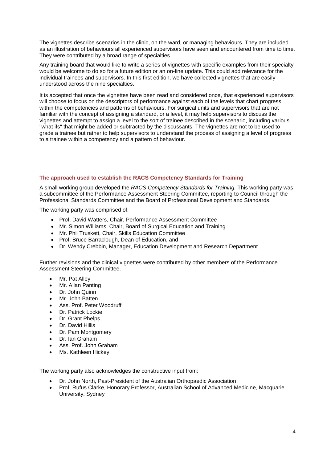The vignettes describe scenarios in the clinic, on the ward, or managing behaviours. They are included as an illustration of behaviours all experienced supervisors have seen and encountered from time to time. They were contributed by a broad range of specialties.

Any training board that would like to write a series of vignettes with specific examples from their specialty would be welcome to do so for a future edition or an on-line update. This could add relevance for the individual trainees and supervisors. In this first edition, we have collected vignettes that are easily understood across the nine specialties.

It is accepted that once the vignettes have been read and considered once, that experienced supervisors will choose to focus on the descriptors of performance against each of the levels that chart progress within the competencies and patterns of behaviours. For surgical units and supervisors that are not familiar with the concept of assigning a standard, or a level, it may help supervisors to discuss the vignettes and attempt to assign a level to the sort of trainee described in the scenario, including various "what ifs" that might be added or subtracted by the discussants. The vignettes are not to be used to grade a trainee but rather to help supervisors to understand the process of assigning a level of progress to a trainee within a competency and a pattern of behaviour.

#### **The approach used to establish the RACS Competency Standards for Training**

A small working group developed the *RACS Competency Standards for Training.* This working party was a subcommittee of the Performance Assessment Steering Committee, reporting to Council through the Professional Standards Committee and the Board of Professional Development and Standards.

The working party was comprised of:

- Prof. David Watters, Chair, Performance Assessment Committee
- Mr. Simon Williams, Chair, Board of Surgical Education and Training
- Mr. Phil Truskett, Chair, Skills Education Committee
- Prof. Bruce Barraclough, Dean of Education, and
- Dr. Wendy Crebbin, Manager, Education Development and Research Department

Further revisions and the clinical vignettes were contributed by other members of the Performance Assessment Steering Committee.

- Mr. Pat Alley
- Mr. Allan Panting
- Dr. John Quinn
- Mr. John Batten
- Ass. Prof. Peter Woodruff
- Dr. Patrick Lockie
- Dr. Grant Phelps
- Dr. David Hillis
- Dr. Pam Montgomery
- Dr. Ian Graham
- Ass. Prof. John Graham
- Ms. Kathleen Hickey

The working party also acknowledges the constructive input from:

- Dr. John North, Past-President of the Australian Orthopaedic Association
- x Prof. Rufus Clarke, Honorary Professor, Australian School of Advanced Medicine, Macquarie University, Sydney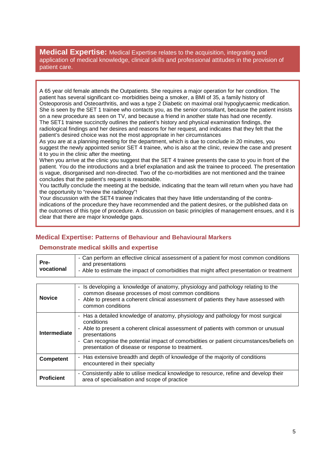**Medical Expertise:** Medical Expertise relates to the acquisition, integrating and application of medical knowledge, clinical skills and professional attitudes in the provision of patient care.

A 65 year old female attends the Outpatients. She requires a major operation for her condition. The patient has several significant co- morbidities being a smoker, a BMI of 35, a family history of Osteoporosis and Osteoarthritis, and was a type 2 Diabetic on maximal oral hypoglycaemic medication. She is seen by the SET 1 trainee who contacts you, as the senior consultant, because the patient insists on a new procedure as seen on TV, and because a friend in another state has had one recently. The SET1 trainee succinctly outlines the patient's history and physical examination findings, the radiological findings and her desires and reasons for her request, and indicates that they felt that the patient's desired choice was not the most appropriate in her circumstances

As you are at a planning meeting for the department, which is due to conclude in 20 minutes, you suggest the newly appointed senior SET 4 trainee, who is also at the clinic, review the case and present it to you in the clinic after the meeting.

When you arrive at the clinic you suggest that the SET 4 trainee presents the case to you in front of the patient. You do the introductions and a brief explanation and ask the trainee to proceed. The presentation is vague, disorganised and non-directed. Two of the co-morbidities are not mentioned and the trainee concludes that the patient's request is reasonable.

You tactfully conclude the meeting at the bedside, indicating that the team will return when you have had the opportunity to "review the radiology"!

Your discussion with the SET4 trainee indicates that they have little understanding of the contraindications of the procedure they have recommended and the patient desires, or the published data on the outcomes of this type of procedure. A discussion on basic principles of management ensues, and it is clear that there are major knowledge gaps.

### **Medical Expertise: Patterns of Behaviour and Behavioural Markers**

#### **Demonstrate medical skills and expertise**

| Pre-<br>vocational  | - Can perform an effective clinical assessment of a patient for most common conditions<br>and presentations<br>- Able to estimate the impact of comorbidities that might affect presentation or treatment                                                                                                                                                 |
|---------------------|-----------------------------------------------------------------------------------------------------------------------------------------------------------------------------------------------------------------------------------------------------------------------------------------------------------------------------------------------------------|
|                     |                                                                                                                                                                                                                                                                                                                                                           |
| <b>Novice</b>       | - Is developing a knowledge of anatomy, physiology and pathology relating to the<br>common disease processes of most common conditions<br>- Able to present a coherent clinical assessment of patients they have assessed with<br>common conditions                                                                                                       |
| <b>Intermediate</b> | - Has a detailed knowledge of anatomy, physiology and pathology for most surgical<br>conditions<br>- Able to present a coherent clinical assessment of patients with common or unusual<br>presentations<br>- Can recognise the potential impact of comorbidities or patient circumstances/beliefs on<br>presentation of disease or response to treatment. |
| <b>Competent</b>    | - Has extensive breadth and depth of knowledge of the majority of conditions<br>encountered in their specialty                                                                                                                                                                                                                                            |
| <b>Proficient</b>   | - Consistently able to utilise medical knowledge to resource, refine and develop their<br>area of specialisation and scope of practice                                                                                                                                                                                                                    |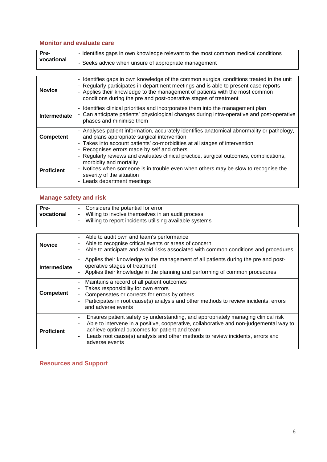### **Monitor and evaluate care**

| Pre-       | - Identifies gaps in own knowledge relevant to the most common medical conditions |
|------------|-----------------------------------------------------------------------------------|
| vocational | - Seeks advice when unsure of appropriate management                              |

| <b>Novice</b>     | - Identifies gaps in own knowledge of the common surgical conditions treated in the unit<br>- Regularly participates in department meetings and is able to present case reports<br>- Applies their knowledge to the management of patients with the most common<br>conditions during the pre and post-operative stages of treatment |
|-------------------|-------------------------------------------------------------------------------------------------------------------------------------------------------------------------------------------------------------------------------------------------------------------------------------------------------------------------------------|
| Intermediate      | - Identifies clinical priorities and incorporates them into the management plan<br>- Can anticipate patients' physiological changes during intra-operative and post-operative<br>phases and minimise them                                                                                                                           |
| <b>Competent</b>  | - Analyses patient information, accurately identifies anatomical abnormality or pathology,<br>and plans appropriate surgical intervention<br>- Takes into account patients' co-morbidities at all stages of intervention<br>- Recognises errors made by self and others                                                             |
| <b>Proficient</b> | - Regularly reviews and evaluates clinical practice, surgical outcomes, complications,<br>morbidity and mortality<br>- Notices when someone is in trouble even when others may be slow to recognise the<br>severity of the situation<br>Leads department meetings                                                                   |

# **Manage safety and risk**

| Pre-       | Considers the potential for error                       |
|------------|---------------------------------------------------------|
| vocational | - Willing to involve themselves in an audit process     |
|            | Willing to report incidents utilising available systems |
|            |                                                         |

| <b>Novice</b>     | Able to audit own and team's performance<br>۰<br>Able to recognise critical events or areas of concern<br>Able to anticipate and avoid risks associated with common conditions and procedures                                                                                                                                                   |
|-------------------|-------------------------------------------------------------------------------------------------------------------------------------------------------------------------------------------------------------------------------------------------------------------------------------------------------------------------------------------------|
| Intermediate      | Applies their knowledge to the management of all patients during the pre and post-<br>operative stages of treatment<br>Applies their knowledge in the planning and performing of common procedures<br>$\blacksquare$                                                                                                                            |
| Competent         | Maintains a record of all patient outcomes<br>Takes responsibility for own errors<br>Compensates or corrects for errors by others<br>Participates in root cause(s) analysis and other methods to review incidents, errors<br>and adverse events                                                                                                 |
| <b>Proficient</b> | Ensures patient safety by understanding, and appropriately managing clinical risk<br>٠<br>Able to intervene in a positive, cooperative, collaborative and non-judgemental way to<br>٠<br>achieve optimal outcomes for patient and team<br>Leads root cause(s) analysis and other methods to review incidents, errors and<br>۰<br>adverse events |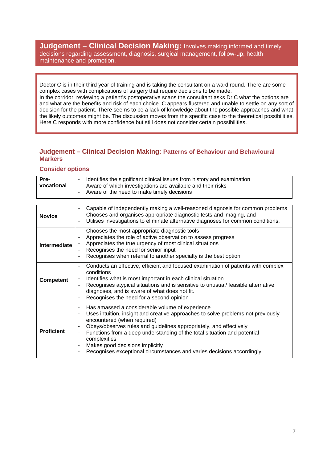**Judgement – Clinical Decision Making: Involves making informed and timely** decisions regarding assessment, diagnosis, surgical management, follow-up, health maintenance and promotion.

Doctor C is in their third year of training and is taking the consultant on a ward round. There are some complex cases with complications of surgery that require decisions to be made.

In the corridor, reviewing a patient's postoperative scans the consultant asks Dr C what the options are and what are the benefits and risk of each choice. C appears flustered and unable to settle on any sort of decision for the patient. There seems to be a lack of knowledge about the possible approaches and what the likely outcomes might be. The discussion moves from the specific case to the theoretical possibilities. Here C responds with more confidence but still does not consider certain possibilities.

#### **Judgement – Clinical Decision Making: Patterns of Behaviour and Behavioural Markers**

#### **Consider options**

| Pre-       | Identifies the significant clinical issues from history and examination<br>۰                                                               |
|------------|--------------------------------------------------------------------------------------------------------------------------------------------|
| vocational | Aware of which investigations are available and their risks<br>٠<br>Aware of the need to make timely decisions<br>$\overline{\phantom{a}}$ |
|            |                                                                                                                                            |

| <b>Novice</b>     | Capable of independently making a well-reasoned diagnosis for common problems<br>$\overline{\phantom{a}}$<br>Chooses and organises appropriate diagnostic tests and imaging, and<br>۰<br>Utilises investigations to eliminate alternative diagnoses for common conditions.<br>۰                                                                                                                                                                                                                                                                        |
|-------------------|--------------------------------------------------------------------------------------------------------------------------------------------------------------------------------------------------------------------------------------------------------------------------------------------------------------------------------------------------------------------------------------------------------------------------------------------------------------------------------------------------------------------------------------------------------|
| Intermediate      | Chooses the most appropriate diagnostic tools<br>-<br>Appreciates the role of active observation to assess progress<br>۰<br>Appreciates the true urgency of most clinical situations<br>-<br>Recognises the need for senior input<br>$\overline{\phantom{a}}$<br>Recognises when referral to another specialty is the best option<br>۰                                                                                                                                                                                                                 |
| <b>Competent</b>  | Conducts an effective, efficient and focused examination of patients with complex<br>-<br>conditions<br>Identifies what is most important in each clinical situation<br>$\qquad \qquad \blacksquare$<br>Recognises atypical situations and is sensitive to unusual/feasible alternative<br>$\qquad \qquad \blacksquare$<br>diagnoses, and is aware of what does not fit.<br>Recognises the need for a second opinion<br>$\qquad \qquad \blacksquare$                                                                                                   |
| <b>Proficient</b> | Has amassed a considerable volume of experience<br>$\blacksquare$<br>Uses intuition, insight and creative approaches to solve problems not previously<br>۰<br>encountered (when required)<br>Obeys/observes rules and guidelines appropriately, and effectively<br>$\overline{\phantom{a}}$<br>Functions from a deep understanding of the total situation and potential<br>$\overline{a}$<br>complexities<br>Makes good decisions implicitly<br>$\overline{\phantom{a}}$<br>Recognises exceptional circumstances and varies decisions accordingly<br>٠ |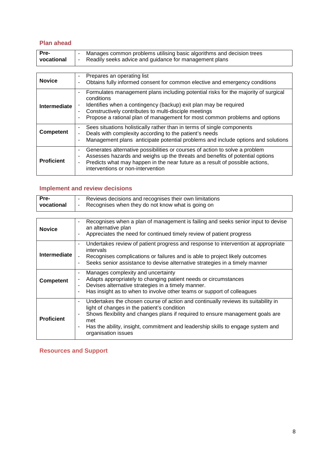### **Plan ahead**

| vocational<br>Readily seeks advice and guidance for management plans |
|----------------------------------------------------------------------|
|----------------------------------------------------------------------|

| <b>Novice</b>       | Prepares an operating list<br>$\blacksquare$<br>Obtains fully informed consent for common elective and emergency conditions<br>$\blacksquare$                                                                                                                                                                                                                          |
|---------------------|------------------------------------------------------------------------------------------------------------------------------------------------------------------------------------------------------------------------------------------------------------------------------------------------------------------------------------------------------------------------|
| <b>Intermediate</b> | Formulates management plans including potential risks for the majority of surgical<br>$\blacksquare$<br>conditions<br>Identifies when a contingency (backup) exit plan may be required<br>$\blacksquare$<br>Constructively contributes to multi-disciple meetings<br>۰<br>Propose a rational plan of management for most common problems and options<br>$\blacksquare$ |
| <b>Competent</b>    | Sees situations holistically rather than in terms of single components<br>$\overline{\phantom{a}}$<br>Deals with complexity according to the patient's needs<br>۰<br>Management plans anticipate potential problems and include options and solutions<br>$\blacksquare$                                                                                                |
| <b>Proficient</b>   | Generates alternative possibilities or courses of action to solve a problem<br>$\overline{\phantom{a}}$<br>Assesses hazards and weighs up the threats and benefits of potential options<br>$\overline{\phantom{a}}$<br>Predicts what may happen in the near future as a result of possible actions,<br>$\overline{a}$<br>interventions or non-intervention             |

# **Implement and review decisions**

| Pre-                | Reviews decisions and recognises their own limitations<br>۰                                                                                                                                                                                                                                                                                        |
|---------------------|----------------------------------------------------------------------------------------------------------------------------------------------------------------------------------------------------------------------------------------------------------------------------------------------------------------------------------------------------|
| vocational          | Recognises when they do not know what is going on<br>۰                                                                                                                                                                                                                                                                                             |
|                     |                                                                                                                                                                                                                                                                                                                                                    |
| <b>Novice</b>       | Recognises when a plan of management is failing and seeks senior input to devise<br>$\overline{\phantom{0}}$<br>an alternative plan<br>Appreciates the need for continued timely review of patient progress<br>۰                                                                                                                                   |
| <b>Intermediate</b> | Undertakes review of patient progress and response to intervention at appropriate<br>-<br>intervals<br>Recognises complications or failures and is able to project likely outcomes<br>$\overline{\phantom{0}}$<br>Seeks senior assistance to devise alternative strategies in a timely manner<br>۰                                                 |
| <b>Competent</b>    | Manages complexity and uncertainty<br>۰<br>Adapts appropriately to changing patient needs or circumstances<br>Devises alternative strategies in a timely manner.<br>۰<br>Has insight as to when to involve other teams or support of colleagues<br>۰                                                                                               |
| <b>Proficient</b>   | Undertakes the chosen course of action and continually reviews its suitability in<br>۰<br>light of changes in the patient's condition<br>Shows flexibility and changes plans if required to ensure management goals are<br>۰<br>met<br>Has the ability, insight, commitment and leadership skills to engage system and<br>۰<br>organisation issues |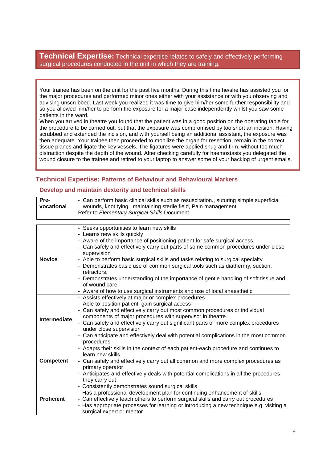**Technical Expertise:** Technical expertise relates to safely and effectively performing surgical procedures conducted in the unit in which they are training.

Your trainee has been on the unit for the past five months. During this time he/she has assisted you for the major procedures and performed minor ones either with your assistance or with you observing and advising unscrubbed. Last week you realized it was time to give him/her some further responsibility and so you allowed him/her to perform the exposure for a major case independently whilst you saw some patients in the ward.

When you arrived in theatre you found that the patient was in a good position on the operating table for the procedure to be carried out, but that the exposure was compromised by too short an incision. Having scrubbed and extended the incision, and with yourself being an additional assistant, the exposure was then adequate. Your trainee then proceeded to mobilize the organ for resection, remain in the correct tissue planes and ligate the key vessels. The ligatures were applied snug and firm, without too much distraction despite the depth of the wound. After checking carefully for haemostasis you delegated the wound closure to the trainee and retired to your laptop to answer some of your backlog of urgent emails.

#### **Technical Expertise: Patterns of Behaviour and Behavioural Markers**

#### **Develop and maintain dexterity and technical skills**

| Pre-              | - Can perform basic clinical skills such as resuscitation., suturing simple superficial                                         |
|-------------------|---------------------------------------------------------------------------------------------------------------------------------|
| vocational        | wounds, knot tying, maintaining sterile field, Pain management                                                                  |
|                   | Refer to Elementary Surgical Skills Document                                                                                    |
|                   |                                                                                                                                 |
|                   | - Seeks opportunities to learn new skills                                                                                       |
|                   | - Learns new skills quickly                                                                                                     |
|                   | - Aware of the importance of positioning patient for safe surgical access                                                       |
|                   | - Can safely and effectively carry out parts of some common procedures under close<br>supervision                               |
| <b>Novice</b>     | - Able to perform basic surgical skills and tasks relating to surgical specialty                                                |
|                   | - Demonstrates basic use of common surgical tools such as diathermy, suction,<br>retractors.                                    |
|                   | - Demonstrates understanding of the importance of gentle handling of soft tissue and                                            |
|                   | of wound care                                                                                                                   |
|                   | - Aware of how to use surgical instruments and use of local anaesthetic                                                         |
|                   | - Assists effectively at major or complex procedures                                                                            |
|                   | - Able to position patient, gain surgical access<br>- Can safely and effectively carry out most common procedures or individual |
|                   | components of major procedures with supervisor in theatre                                                                       |
| Intermediate      | - Can safely and effectively carry out significant parts of more complex procedures                                             |
|                   | under close supervision                                                                                                         |
|                   | - Can anticipate and effectively deal with potential complications in the most common                                           |
|                   | procedures                                                                                                                      |
|                   | - Adapts their skills in the context of each patient-each procedure and continues to                                            |
|                   | learn new skills                                                                                                                |
| <b>Competent</b>  | - Can safely and effectively carry out all common and more complex procedures as                                                |
|                   | primary operator                                                                                                                |
|                   | - Anticipates and effectively deals with potential complications in all the procedures                                          |
|                   | they carry out<br>- Consistently demonstrates sound surgical skills                                                             |
|                   | - Has a professional development plan for continuing enhancement of skills                                                      |
| <b>Proficient</b> | - Can effectively teach others to perform surgical skills and carry out procedures                                              |
|                   | - Has appropriate processes for learning or introducing a new technique e.g. visiting a                                         |
|                   | surgical expert or mentor                                                                                                       |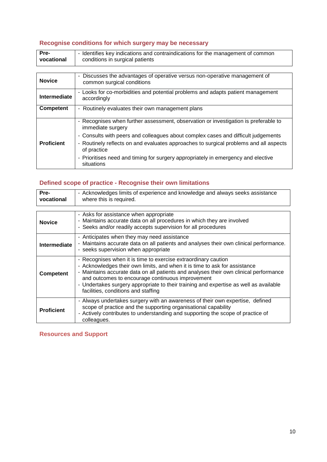# **Recognise conditions for which surgery may be necessary**

| Pre-<br>vocational | - Identifies key indications and contraindications for the management of common<br>conditions in surgical patients       |  |  |
|--------------------|--------------------------------------------------------------------------------------------------------------------------|--|--|
|                    |                                                                                                                          |  |  |
| <b>Novice</b>      | Discusses the advantages of operative versus non-operative management of<br>$\blacksquare$<br>common surgical conditions |  |  |
| Intermediate       | - Looks for co-morbidities and potential problems and adapts patient management<br>accordingly                           |  |  |
| <b>Competent</b>   | - Routinely evaluates their own management plans                                                                         |  |  |
|                    | - Recognises when further assessment, observation or investigation is preferable to<br>immediate surgery                 |  |  |
|                    | - Consults with peers and colleagues about complex cases and difficult judgements                                        |  |  |
| <b>Proficient</b>  | - Routinely reflects on and evaluates approaches to surgical problems and all aspects<br>of practice                     |  |  |
|                    | - Prioritises need and timing for surgery appropriately in emergency and elective<br>situations                          |  |  |

### **Defined scope of practice - Recognise their own limitations**

| Pre-<br>vocational  | - Acknowledges limits of experience and knowledge and always seeks assistance<br>where this is required.                                                                                                                                                                                                                                                                                                                  |  |  |
|---------------------|---------------------------------------------------------------------------------------------------------------------------------------------------------------------------------------------------------------------------------------------------------------------------------------------------------------------------------------------------------------------------------------------------------------------------|--|--|
| <b>Novice</b>       | - Asks for assistance when appropriate<br>- Maintains accurate data on all procedures in which they are involved<br>- Seeks and/or readily accepts supervision for all procedures                                                                                                                                                                                                                                         |  |  |
| <b>Intermediate</b> | - Anticipates when they may need assistance<br>- Maintains accurate data on all patients and analyses their own clinical performance.<br>- seeks supervision when appropriate                                                                                                                                                                                                                                             |  |  |
| <b>Competent</b>    | - Recognises when it is time to exercise extraordinary caution<br>- Acknowledges their own limits, and when it is time to ask for assistance<br>- Maintains accurate data on all patients and analyses their own clinical performance<br>and outcomes to encourage continuous improvement<br>- Undertakes surgery appropriate to their training and expertise as well as available<br>facilities, conditions and staffing |  |  |
| <b>Proficient</b>   | - Always undertakes surgery with an awareness of their own expertise, defined<br>scope of practice and the supporting organisational capability<br>- Actively contributes to understanding and supporting the scope of practice of<br>colleagues.                                                                                                                                                                         |  |  |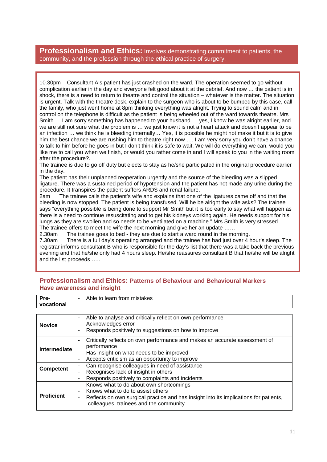# **Professionalism and Ethics:** Involves demonstrating commitment to patients, the community, and the profession through the ethical practice of surgery.

10.30pm Consultant A's patient has just crashed on the ward. The operation seemed to go without complication earlier in the day and everyone felt good about it at the debrief. And now … the patient is in shock, there is a need to return to theatre and control the situation – whatever is the matter. The situation is urgent. Talk with the theatre desk, explain to the surgeon who is about to be bumped by this case, call the family, who just went home at 8pm thinking everything was alright. Trying to sound calm and in control on the telephone is difficult as the patient is being wheeled out of the ward towards theatre. Mrs Smith … I am sorry something has happened to your husband … yes, I know he was alright earlier, and we are still not sure what the problem is … we just know it is not a heart attack and doesn't appear to be an infection … we think he is bleeding internally… Yes, it is possible he might not make it but it is to give him the best chance we are rushing him to theatre right now …. I am very sorry you don't have a chance to talk to him before he goes in but I don't think it is safe to wait. We will do everything we can, would you like me to call you when we finish, or would you rather come in and I will speak to you in the waiting room after the procedure?.

The trainee is due to go off duty but elects to stay as he/she participated in the original procedure earlier in the day.

The patient has their unplanned reoperation urgently and the source of the bleeding was a slipped ligature. There was a sustained period of hypotension and the patient has not made any urine during the procedure. It transpires the patient suffers ARDS and renal failure.

2am The trainee calls the patient's wife and explains that one of the ligatures came off and that the bleeding is now stopped. The patient is being transfused. Will he be alright the wife asks? The trainee says "everything possible is being done to support Mr Smith but it is too early to say what will happen as there is a need to continue resuscitating and to get his kidneys working again. He needs support for his lungs as they are swollen and so needs to be ventilated on a machine." Mrs Smith is very stressed…. The trainee offers to meet the wife the next morning and give her an update ......

2.30am The trainee goes to bed - they are due to start a ward round in the morning.

7.30am There is a full day's operating arranged and the trainee has had just over 4 hour's sleep. The registrar informs consultant B who is responsible for the day's list that there was a take back the previous evening and that he/she only had 4 hours sleep. He/she reassures consultant B that he/she will be alright and the list proceeds …..

#### **Professionalism and Ethics: Patterns of Behaviour and Behavioural Markers Have awareness and insight**

| Pre-<br>vocational | Able to learn from mistakes<br>٠                                                                                                                                                                                                                                                              |
|--------------------|-----------------------------------------------------------------------------------------------------------------------------------------------------------------------------------------------------------------------------------------------------------------------------------------------|
|                    |                                                                                                                                                                                                                                                                                               |
| <b>Novice</b>      | Able to analyse and critically reflect on own performance<br>$\overline{\phantom{a}}$<br>Acknowledges error<br>Responds positively to suggestions on how to improve<br>۰                                                                                                                      |
| Intermediate       | Critically reflects on own performance and makes an accurate assessment of<br>$\blacksquare$<br>performance<br>Has insight on what needs to be improved<br>$\overline{\phantom{a}}$<br>Accepts criticism as an opportunity to improve<br>$\blacksquare$                                       |
| <b>Competent</b>   | Can recognise colleagues in need of assistance<br>$\blacksquare$<br>Recognises lack of insight in others<br>$\overline{\phantom{a}}$<br>Responds positively to complaints and incidents<br>$\overline{\phantom{a}}$                                                                           |
| <b>Proficient</b>  | Knows what to do about own shortcomings<br>$\overline{\phantom{a}}$<br>Knows what to do to assist others<br>$\blacksquare$<br>Reflects on own surgical practice and has insight into its implications for patients,<br>$\qquad \qquad \blacksquare$<br>colleagues, trainees and the community |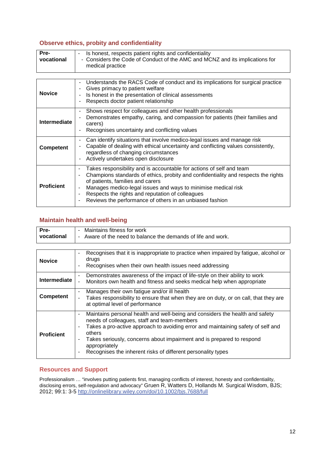#### **Observe ethics, probity and confidentiality**

| Pre-       | Is honest, respects patient rights and confidentiality                                           |
|------------|--------------------------------------------------------------------------------------------------|
| vocational | - Considers the Code of Conduct of the AMC and MCNZ and its implications for<br>medical practice |

| <b>Novice</b>     | Understands the RACS Code of conduct and its implications for surgical practice<br>Gives primacy to patient welfare<br>Is honest in the presentation of clinical assessments<br>Respects doctor patient relationship                                                                                                                                                                                                                    |
|-------------------|-----------------------------------------------------------------------------------------------------------------------------------------------------------------------------------------------------------------------------------------------------------------------------------------------------------------------------------------------------------------------------------------------------------------------------------------|
| Intermediate      | Shows respect for colleagues and other health professionals<br>Demonstrates empathy, caring, and compassion for patients (their families and<br>carers)<br>Recognises uncertainty and conflicting values                                                                                                                                                                                                                                |
| <b>Competent</b>  | Can identify situations that involve medico-legal issues and manage risk<br>Capable of dealing with ethical uncertainty and conflicting values consistently,<br>regardless of changing circumstances<br>Actively undertakes open disclosure                                                                                                                                                                                             |
| <b>Proficient</b> | Takes responsibility and is accountable for actions of self and team<br>Champions standards of ethics, probity and confidentiality and respects the rights<br>$\overline{\phantom{a}}$<br>of patients, families and carers<br>Manages medico-legal issues and ways to minimise medical risk<br>$\overline{\phantom{a}}$<br>Respects the rights and reputation of colleagues<br>Reviews the performance of others in an unbiased fashion |

# **Maintain health and well-being**

| Pre-                | Maintains fitness for work<br>$\blacksquare$                                                                                                                                                                                                                                                                                                                                                                                                                                              |
|---------------------|-------------------------------------------------------------------------------------------------------------------------------------------------------------------------------------------------------------------------------------------------------------------------------------------------------------------------------------------------------------------------------------------------------------------------------------------------------------------------------------------|
| vocational          | Aware of the need to balance the demands of life and work.<br>$\blacksquare$                                                                                                                                                                                                                                                                                                                                                                                                              |
|                     |                                                                                                                                                                                                                                                                                                                                                                                                                                                                                           |
| <b>Novice</b>       | Recognises that it is inappropriate to practice when impaired by fatigue, alcohol or<br>$\qquad \qquad \blacksquare$<br>drugs<br>Recognises when their own health issues need addressing                                                                                                                                                                                                                                                                                                  |
| <b>Intermediate</b> | Demonstrates awareness of the impact of life-style on their ability to work<br>۰<br>Monitors own health and fitness and seeks medical help when appropriate<br>÷,                                                                                                                                                                                                                                                                                                                         |
| Competent           | Manages their own fatigue and/or ill health<br>$\overline{\phantom{a}}$<br>Takes responsibility to ensure that when they are on duty, or on call, that they are<br>at optimal level of performance                                                                                                                                                                                                                                                                                        |
| <b>Proficient</b>   | Maintains personal health and well-being and considers the health and safety<br>$\overline{\phantom{a}}$<br>needs of colleagues, staff and team-members<br>Takes a pro-active approach to avoiding error and maintaining safety of self and<br>$\blacksquare$<br>others<br>Takes seriously, concerns about impairment and is prepared to respond<br>$\overline{\phantom{a}}$<br>appropriately<br>Recognises the inherent risks of different personality types<br>$\overline{\phantom{a}}$ |

#### **Resources and Support**

Professionalism … "involves putting patients first, managing conflicts of interest, honesty and confidentiality, disclosing errors, self-regulation and advocacy" Gruen R, Watters D, Hollands M. Surgical Wisdom, BJS; 2012; 99:1: 3-5 http://onlinelibrary.wiley.com/doi/10.1002/bjs.7688/full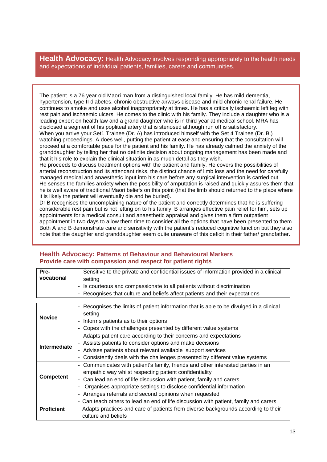**Health Advocacy:** Health Advocacy involves responding appropriately to the health needs and expectations of individual patients, families, carers and communities.

The patient is a 76 year old Maori man from a distinguished local family. He has mild dementia, hypertension, type II diabetes, chronic obstructive airways disease and mild chronic renal failure. He continues to smoke and uses alcohol inappropriately at times. He has a critically ischaemic left leg with rest pain and ischaemic ulcers. He comes to the clinic with his family. They include a daughter who is a leading expert on health law and a grand daughter who is in third year at medical school. MRA has disclosed a segment of his popliteal artery that is stenosed although run off is satisfactory.

When you arrive your Set1 Trainee (Dr. A) has introduced himself with the Set 4 Trainee (Dr. B.) watching proceedings. A does well, putting the patient at ease and ensuring that the consultation will proceed at a comfortable pace for the patient and his family. He has already calmed the anxiety of the granddaughter by telling her that no definite decision about ongoing management has been made and that it his role to explain the clinical situation in as much detail as they wish.

He proceeds to discuss treatment options with the patient and family. He covers the possibilities of arterial reconstruction and its attendant risks, the distinct chance of limb loss and the need for carefully managed medical and anaesthetic input into his care before any surgical intervention is carried out. He senses the families anxiety when the possibility of amputation is raised and quickly assures them that he is well aware of traditional Maori beliefs on this point (that the limb should returned to the place where it is likely the patient will eventually die and be buried).

Dr B recognises the uncomplaining nature of the patient and correctly determines that he is suffering considerable rest pain but is not letting on to his family. B arranges effective pain relief for him, sets up appointments for a medical consult and anaesthetic appraisal and gives them a firm outpatient appointment in two days to allow them time to consider all the options that have been presented to them. Both A and B demonstrate care and sensitivity with the patient's reduced cognitive function but they also note that the daughter and granddaughter seem quite unaware of this deficit in their father/ grandfather.

| Pre-              | - Sensitive to the private and confidential issues of information provided in a clinical                   |  |  |  |
|-------------------|------------------------------------------------------------------------------------------------------------|--|--|--|
| vocational        | setting                                                                                                    |  |  |  |
|                   | Is courteous and compassionate to all patients without discrimination                                      |  |  |  |
|                   | Recognises that culture and beliefs affect patients and their expectations                                 |  |  |  |
|                   |                                                                                                            |  |  |  |
|                   | Recognises the limits of patient information that is able to be divulged in a clinical<br>setting          |  |  |  |
| <b>Novice</b>     | Informs patients as to their options                                                                       |  |  |  |
|                   | Copes with the challenges presented by different value systems                                             |  |  |  |
|                   | - Adapts patient care according to their concerns and expectations                                         |  |  |  |
|                   | - Assists patients to consider options and make decisions                                                  |  |  |  |
| Intermediate      | - Advises patients about relevant available support services                                               |  |  |  |
|                   | Consistently deals with the challenges presented by different value systems                                |  |  |  |
|                   | Communicates with patient's family, friends and other interested parties in an                             |  |  |  |
|                   | empathic way whilst respecting patient confidentiality                                                     |  |  |  |
| <b>Competent</b>  | Can lead an end of life discussion with patient, family and carers                                         |  |  |  |
|                   | Organises appropriate settings to disclose confidential information                                        |  |  |  |
|                   | Arranges referrals and second opinions when requested                                                      |  |  |  |
| <b>Proficient</b> | - Can teach others to lead an end of life discussion with patient, family and carers                       |  |  |  |
|                   | - Adapts practices and care of patients from diverse backgrounds according to their<br>culture and beliefs |  |  |  |

#### **Health Advocacy: Patterns of Behaviour and Behavioural Markers Provide care with compassion and respect for patient rights**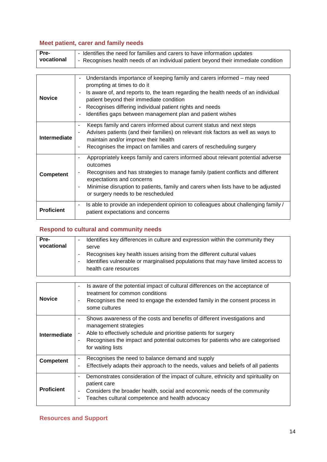# **Meet patient, carer and family needs**

| Pre-       | - Identifies the need for families and carers to have information updates           |
|------------|-------------------------------------------------------------------------------------|
| vocational | - Recognises health needs of an individual patient beyond their immediate condition |

| <b>Novice</b>     | Understands importance of keeping family and carers informed – may need<br>prompting at times to do it<br>Is aware of, and reports to, the team regarding the health needs of an individual<br>patient beyond their immediate condition<br>Recognises differing individual patient rights and needs<br>Identifies gaps between management plan and patient wishes |
|-------------------|-------------------------------------------------------------------------------------------------------------------------------------------------------------------------------------------------------------------------------------------------------------------------------------------------------------------------------------------------------------------|
| Intermediate      | Keeps family and carers informed about current status and next steps<br>٠<br>Advises patients (and their families) on relevant risk factors as well as ways to<br>maintain and/or improve their health<br>Recognises the impact on families and carers of rescheduling surgery<br>٠                                                                               |
| <b>Competent</b>  | Appropriately keeps family and carers informed about relevant potential adverse<br>٠<br>outcomes<br>Recognises and has strategies to manage family /patient conflicts and different<br>expectations and concerns<br>Minimise disruption to patients, family and carers when lists have to be adjusted<br>٠<br>or surgery needs to be rescheduled                  |
| <b>Proficient</b> | Is able to provide an independent opinion to colleagues about challenging family /<br>$\overline{\phantom{a}}$<br>patient expectations and concerns                                                                                                                                                                                                               |

# **Respond to cultural and community needs**

| Pre-       | $\overline{\phantom{0}}$ | Identifies key differences in culture and expression within the community they    |
|------------|--------------------------|-----------------------------------------------------------------------------------|
| vocational |                          | serve                                                                             |
|            | $\overline{\phantom{a}}$ | Recognises key health issues arising from the different cultural values           |
|            | $\overline{\phantom{a}}$ | Identifies vulnerable or marginalised populations that may have limited access to |
|            |                          | health care resources                                                             |
|            |                          |                                                                                   |

| <b>Novice</b>       | Is aware of the potential impact of cultural differences on the acceptance of<br>$\qquad \qquad \blacksquare$<br>treatment for common conditions<br>Recognises the need to engage the extended family in the consent process in<br>×,<br>some cultures                                       |
|---------------------|----------------------------------------------------------------------------------------------------------------------------------------------------------------------------------------------------------------------------------------------------------------------------------------------|
| <b>Intermediate</b> | Shows awareness of the costs and benefits of different investigations and<br>٠<br>management strategies<br>Able to effectively schedule and prioritise patients for surgery<br>×,<br>Recognises the impact and potential outcomes for patients who are categorised<br>٠<br>for waiting lists |
| <b>Competent</b>    | Recognises the need to balance demand and supply<br>$\overline{\phantom{a}}$<br>Effectively adapts their approach to the needs, values and beliefs of all patients<br>٠                                                                                                                      |
| <b>Proficient</b>   | Demonstrates consideration of the impact of culture, ethnicity and spirituality on<br>۰<br>patient care<br>Considers the broader health, social and economic needs of the community<br>$\overline{\phantom{a}}$<br>Teaches cultural competence and health advocacy<br>۰                      |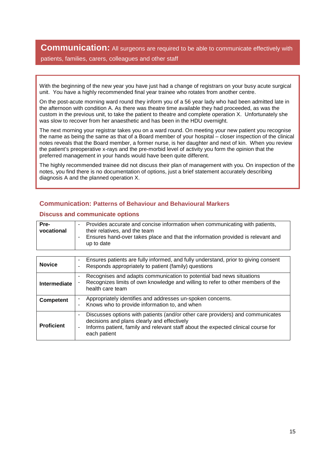**Communication:** All surgeons are required to be able to communicate effectively with

patients, families, carers, colleagues and other staff

With the beginning of the new year you have just had a change of registrars on your busy acute surgical unit. You have a highly recommended final year trainee who rotates from another centre.

On the post-acute morning ward round they inform you of a 56 year lady who had been admitted late in the afternoon with condition A. As there was theatre time available they had proceeded, as was the custom in the previous unit, to take the patient to theatre and complete operation X. Unfortunately she was slow to recover from her anaesthetic and has been in the HDU overnight.

The next morning your registrar takes you on a ward round. On meeting your new patient you recognise the name as being the same as that of a Board member of your hospital – closer inspection of the clinical notes reveals that the Board member, a former nurse, is her daughter and next of kin. When you review the patient's preoperative x-rays and the pre-morbid level of activity you form the opinion that the preferred management in your hands would have been quite different.

The highly recommended trainee did not discuss their plan of management with you. On inspection of the notes, you find there is no documentation of options, just a brief statement accurately describing diagnosis A and the planned operation X.

#### **Communication: Patterns of Behaviour and Behavioural Markers**

#### **Discuss and communicate options**

| Pre-       | Provides accurate and concise information when communicating with patients,                       |
|------------|---------------------------------------------------------------------------------------------------|
| vocational | their relatives, and the team                                                                     |
|            | Ensures hand-over takes place and that the information provided is relevant and<br>$\blacksquare$ |
|            | up to date                                                                                        |
|            |                                                                                                   |

| <b>Novice</b>       | Ensures patients are fully informed, and fully understand, prior to giving consent<br>۰<br>Responds appropriately to patient (family) questions<br>۰                                                                                                      |
|---------------------|-----------------------------------------------------------------------------------------------------------------------------------------------------------------------------------------------------------------------------------------------------------|
| <b>Intermediate</b> | Recognises and adapts communication to potential bad news situations<br>۰<br>Recognizes limits of own knowledge and willing to refer to other members of the<br>health care team                                                                          |
| <b>Competent</b>    | Appropriately identifies and addresses un-spoken concerns.<br>۰<br>Knows who to provide information to, and when<br>-                                                                                                                                     |
| <b>Proficient</b>   | Discusses options with patients (and/or other care providers) and communicates<br>٠<br>decisions and plans clearly and effectively<br>Informs patient, family and relevant staff about the expected clinical course for<br>$\blacksquare$<br>each patient |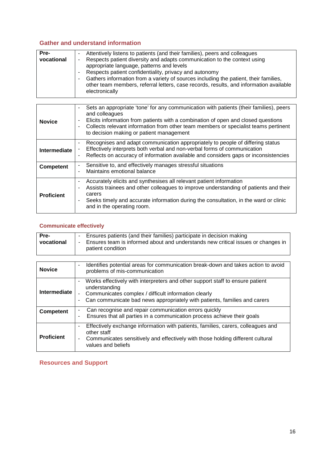### **Gather and understand information**

| Pre-<br>vocational | Attentively listens to patients (and their families), peers and colleagues<br>Respects patient diversity and adapts communication to the context using<br>۰<br>appropriate language, patterns and levels<br>Respects patient confidentiality, privacy and autonomy<br>$\blacksquare$ |
|--------------------|--------------------------------------------------------------------------------------------------------------------------------------------------------------------------------------------------------------------------------------------------------------------------------------|
|                    | Gathers information from a variety of sources including the patient, their families,<br>$\blacksquare$<br>other team members, referral letters, case records, results, and information available<br>electronically                                                                   |

| <b>Novice</b>       | Sets an appropriate 'tone' for any communication with patients (their families), peers<br>and colleagues<br>Elicits information from patients with a combination of open and closed questions<br>٠<br>Collects relevant information from other team members or specialist teams pertinent<br>to decision making or patient management |
|---------------------|---------------------------------------------------------------------------------------------------------------------------------------------------------------------------------------------------------------------------------------------------------------------------------------------------------------------------------------|
| <b>Intermediate</b> | Recognises and adapt communication appropriately to people of differing status<br>Effectively interprets both verbal and non-verbal forms of communication<br>Reflects on accuracy of information available and considers gaps or inconsistencies<br>$\overline{\phantom{a}}$                                                         |
| <b>Competent</b>    | Sensitive to, and effectively manages stressful situations<br>Maintains emotional balance                                                                                                                                                                                                                                             |
| <b>Proficient</b>   | Accurately elicits and synthesises all relevant patient information<br>Assists trainees and other colleagues to improve understanding of patients and their<br>carers<br>Seeks timely and accurate information during the consultation, in the ward or clinic<br>and in the operating room.                                           |

#### **Communicate effectively**

| Pre-<br>vocational  | Ensures patients (and their families) participate in decision making<br>۰<br>Ensures team is informed about and understands new critical issues or changes in<br>$\overline{\phantom{a}}$<br>patient condition                                                                            |
|---------------------|-------------------------------------------------------------------------------------------------------------------------------------------------------------------------------------------------------------------------------------------------------------------------------------------|
|                     |                                                                                                                                                                                                                                                                                           |
| <b>Novice</b>       | Identifies potential areas for communication break-down and takes action to avoid<br>$\blacksquare$<br>problems of mis-communication                                                                                                                                                      |
| <b>Intermediate</b> | Works effectively with interpreters and other support staff to ensure patient<br>$\blacksquare$<br>understanding<br>Communicates complex / difficult information clearly<br>$\blacksquare$<br>Can communicate bad news appropriately with patients, families and carers<br>$\blacksquare$ |
| <b>Competent</b>    | Can recognise and repair communication errors quickly<br>$\overline{\phantom{a}}$<br>Ensures that all parties in a communication process achieve their goals<br>$\overline{\phantom{a}}$                                                                                                  |
| <b>Proficient</b>   | Effectively exchange information with patients, families, carers, colleagues and<br>$\blacksquare$<br>other staff<br>Communicates sensitively and effectively with those holding different cultural<br>$\blacksquare$<br>values and beliefs                                               |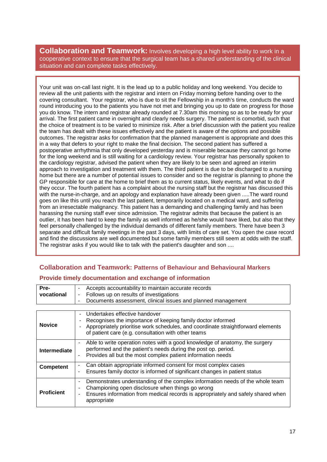**Collaboration and Teamwork:** Involves developing a high level ability to work in a cooperative context to ensure that the surgical team has a shared understanding of the clinical situation and can complete tasks effectively.

Your unit was on-call last night. It is the lead up to a public holiday and long weekend. You decide to review all the unit patients with the registrar and intern on Friday morning before handing over to the covering consultant. Your registrar, who is due to sit the Fellowship in a month's time, conducts the ward round introducing you to the patients you have not met and bringing you up to date on progress for those you do know. The intern and registrar already rounded at 7.30am this morning so as to be ready for your arrival. The first patient came in overnight and clearly needs surgery. The patient is comorbid, such that the choice of treatment is to be varied to minimize risk. After a brief discussion with the patient you realize the team has dealt with these issues effectively and the patient is aware of the options and possible outcomes. The registrar asks for confirmation that the planned management is appropriate and does this in a way that defers to your right to make the final decision. The second patient has suffered a postoperative arrhythmia that only developed yesterday and is miserable because they cannot go home for the long weekend and is still waiting for a cardiology review. Your registrar has personally spoken to the cardiology registrar, advised the patient when they are likely to be seen and agreed an interim approach to investigation and treatment with them. The third patient is due to be discharged to a nursing home but there are a number of potential issues to consider and so the registrar is planning to phone the GP responsible for care at the home to brief them as to current status, likely events, and what to do if they occur. The fourth patient has a complaint about the nursing staff but the registrar has discussed this with the nurse-in-charge, and an apology and explanation have already been given .....The ward round goes on like this until you reach the last patient, temporarily located on a medical ward, and suffering from an irresectable malignancy. This patient has a demanding and challenging family and has been harassing the nursing staff ever since admission. The registrar admits that because the patient is an outlier, it has been hard to keep the family as well informed as he/she would have liked, but also that they feel personally challenged by the individual demands of different family members. There have been 3 separate and difficult family meetings in the past 3 days, with limits of care set. You open the case record and find the discussions are well documented but some family members still seem at odds with the staff. The registrar asks if you would like to talk with the patient's daughter and son ....

# **Collaboration and Teamwork: Patterns of Behaviour and Behavioural Markers Provide timely documentation and exchange of information**

| Pre-              | Accepts accountability to maintain accurate records<br>-                                                                                                                                                                                                                                              |
|-------------------|-------------------------------------------------------------------------------------------------------------------------------------------------------------------------------------------------------------------------------------------------------------------------------------------------------|
| vocational        | Follows up on results of investigations<br>$\overline{\phantom{a}}$                                                                                                                                                                                                                                   |
|                   | Documents assessment, clinical issues and planned management<br>$\blacksquare$                                                                                                                                                                                                                        |
|                   |                                                                                                                                                                                                                                                                                                       |
| <b>Novice</b>     | Undertakes effective handover<br>Recognises the importance of keeping family doctor informed<br>Appropriately prioritise work schedules, and coordinate straightforward elements<br>of patient care (e.g. consultation with other teams                                                               |
| Intermediate      | Able to write operation notes with a good knowledge of anatomy, the surgery<br>$\overline{\phantom{a}}$<br>performed and the patient's needs during the post op. period.<br>Provides all but the most complex patient information needs<br>$\blacksquare$                                             |
| <b>Competent</b>  | Can obtain appropriate informed consent for most complex cases<br>$\overline{\phantom{a}}$<br>Ensures family doctor is informed of significant changes in patient status<br>$\overline{a}$                                                                                                            |
| <b>Proficient</b> | Demonstrates understanding of the complex information needs of the whole team<br>$\overline{\phantom{a}}$<br>Championing open disclosure when things go wrong<br>٠<br>Ensures information from medical records is appropriately and safely shared when<br>$\qquad \qquad \blacksquare$<br>appropriate |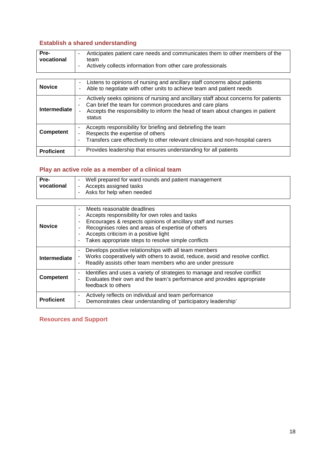# **Establish a shared understanding**

| Pre-       | Anticipates patient care needs and communicates them to other members of the<br>۰ |
|------------|-----------------------------------------------------------------------------------|
| vocational | team<br>Actively collects information from other care professionals               |
|            |                                                                                   |

| <b>Novice</b>     | Listens to opinions of nursing and ancillary staff concerns about patients<br>Able to negotiate with other units to achieve team and patient needs                                                                                             |
|-------------------|------------------------------------------------------------------------------------------------------------------------------------------------------------------------------------------------------------------------------------------------|
| Intermediate      | Actively seeks opinions of nursing and ancillary staff about concerns for patients<br>Can brief the team for common procedures and care plans<br>۰<br>Accepts the responsibility to inform the head of team about changes in patient<br>status |
| Competent         | Accepts responsibility for briefing and debriefing the team<br>٠<br>Respects the expertise of others<br>۰<br>Transfers care effectively to other relevant clinicians and non-hospital carers<br>۰                                              |
| <b>Proficient</b> | Provides leadership that ensures understanding for all patients<br>-                                                                                                                                                                           |

# **Play an active role as a member of a clinical team**

| Pre-       | Well prepared for ward rounds and patient management<br>-                       |
|------------|---------------------------------------------------------------------------------|
| vocational | Accepts assigned tasks<br>$\overline{\phantom{a}}$<br>Asks for help when needed |

| <b>Novice</b>       | Meets reasonable deadlines<br>٠<br>Accepts responsibility for own roles and tasks<br>٠<br>Encourages & respects opinions of ancillary staff and nurses<br>Recognises roles and areas of expertise of others<br>Accepts criticism in a positive light<br>٠<br>Takes appropriate steps to resolve simple conflicts<br>$\overline{\phantom{a}}$ |
|---------------------|----------------------------------------------------------------------------------------------------------------------------------------------------------------------------------------------------------------------------------------------------------------------------------------------------------------------------------------------|
| <b>Intermediate</b> | Develops positive relationships with all team members<br>Works cooperatively with others to avoid, reduce, avoid and resolve conflict.<br>$\blacksquare$<br>Readily assists other team members who are under pressure<br>$\overline{\phantom{a}}$                                                                                            |
| <b>Competent</b>    | Identifies and uses a variety of strategies to manage and resolve conflict<br>$\overline{\phantom{a}}$<br>Evaluates their own and the team's performance and provides appropriate<br>feedback to others                                                                                                                                      |
| <b>Proficient</b>   | Actively reflects on individual and team performance<br>٠<br>Demonstrates clear understanding of 'participatory leadership'<br>$\blacksquare$                                                                                                                                                                                                |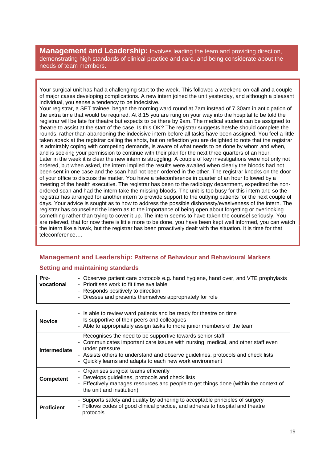**Management and Leadership:** Involves leading the team and providing direction, demonstrating high standards of clinical practice and care, and being considerate about the needs of team members.

Your surgical unit has had a challenging start to the week. This followed a weekend on-call and a couple of major cases developing complications. A new intern joined the unit yesterday, and although a pleasant individual, you sense a tendency to be indecisive.

Your registrar, a SET trainee, began the morning ward round at 7am instead of 7.30am in anticipation of the extra time that would be required. At 8.15 you are rung on your way into the hospital to be told the registrar will be late for theatre but expects to be there by 9am. The medical student can be assigned to theatre to assist at the start of the case. Is this OK? The registrar suggests he/she should complete the rounds, rather than abandoning the indecisive intern before all tasks have been assigned. You feel a little taken aback at the registrar calling the shots, but on reflection you are delighted to note that the registrar is admirably coping with competing demands, is aware of what needs to be done by whom and when, and is seeking your permission to continue with their plan for the next three quarters of an hour. Later in the week it is clear the new intern is struggling. A couple of key investigations were not only not ordered, but when asked, the intern implied the results were awaited when clearly the bloods had not been sent in one case and the scan had not been ordered in the other. The registrar knocks on the door of your office to discuss the matter. You have a teleconference in quarter of an hour followed by a meeting of the health executive. The registrar has been to the radiology department, expedited the nonordered scan and had the intern take the missing bloods. The unit is too busy for this intern and so the registrar has arranged for another intern to provide support to the outlying patients for the next couple of days. Your advice is sought as to how to address the possible dishonesty/evasiveness of the intern. The registrar has counselled the intern as to the importance of being open about forgetting or overlooking something rather than trying to cover it up. The intern seems to have taken the counsel seriously. You are relieved, that for now there is little more to be done, you have been kept well informed, you can watch the intern like a hawk, but the registrar has been proactively dealt with the situation. It is time for that teleconference….

### **Management and Leadership: Patterns of Behaviour and Behavioural Markers**

#### **Setting and maintaining standards**

| Pre-       | - Observes patient care protocols e.g. hand hygiene, hand over, and VTE prophylaxis |
|------------|-------------------------------------------------------------------------------------|
| vocational | - Prioritises work to fit time available                                            |
|            | - Responds positively to direction                                                  |
|            | - Dresses and presents themselves appropriately for role                            |
|            |                                                                                     |

| <b>Novice</b>     | - Is able to review ward patients and be ready for theatre on time<br>Is supportive of their peers and colleagues<br>- Able to appropriately assign tasks to more junior members of the team                                                                                                                                                    |
|-------------------|-------------------------------------------------------------------------------------------------------------------------------------------------------------------------------------------------------------------------------------------------------------------------------------------------------------------------------------------------|
| Intermediate      | Recognises the need to be supportive towards senior staff<br>$\blacksquare$<br>Communicates important care issues with nursing, medical, and other staff even<br>$\blacksquare$<br>under pressure<br>- Assists others to understand and observe guidelines, protocols and check lists<br>Quickly learns and adapts to each new work environment |
| <b>Competent</b>  | - Organises surgical teams efficiently<br>Develops guidelines, protocols and check lists<br>Effectively manages resources and people to get things done (within the context of<br>the unit and institution)                                                                                                                                     |
| <b>Proficient</b> | - Supports safety and quality by adhering to acceptable principles of surgery<br>- Follows codes of good clinical practice, and adheres to hospital and theatre<br>protocols                                                                                                                                                                    |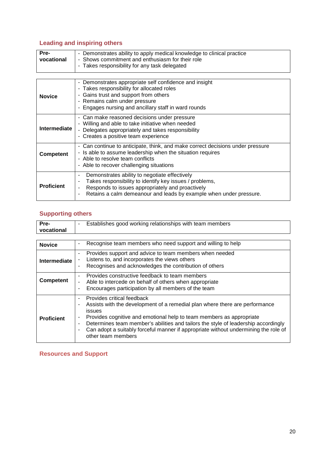# **Leading and inspiring others**

| Pre-       | - Demonstrates ability to apply medical knowledge to clinical practice |
|------------|------------------------------------------------------------------------|
| vocational | - Shows commitment and enthusiasm for their role                       |
|            | - Takes responsibility for any task delegated                          |

| <b>Novice</b>       | - Demonstrates appropriate self confidence and insight<br>- Takes responsibility for allocated roles<br>Gains trust and support from others<br>-<br>- Remains calm under pressure<br>Engages nursing and ancillary staff in ward rounds           |
|---------------------|---------------------------------------------------------------------------------------------------------------------------------------------------------------------------------------------------------------------------------------------------|
| <b>Intermediate</b> | - Can make reasoned decisions under pressure<br>- Willing and able to take initiative when needed<br>- Delegates appropriately and takes responsibility<br>- Creates a positive team experience                                                   |
| <b>Competent</b>    | - Can continue to anticipate, think, and make correct decisions under pressure<br>Is able to assume leadership when the situation requires<br>۰.<br>- Able to resolve team conflicts<br>- Able to recover challenging situations                  |
| <b>Proficient</b>   | Demonstrates ability to negotiate effectively<br>٠<br>Takes responsibility to identify key issues / problems,<br>۰<br>Responds to issues appropriately and proactively<br>۰<br>Retains a calm demeanour and leads by example when under pressure. |

# **Supporting others**

| Pre-<br>vocational  | Establishes good working relationships with team members<br>$\blacksquare$                                                                                                                                                                                                                                                                                                                                                                                                               |
|---------------------|------------------------------------------------------------------------------------------------------------------------------------------------------------------------------------------------------------------------------------------------------------------------------------------------------------------------------------------------------------------------------------------------------------------------------------------------------------------------------------------|
|                     |                                                                                                                                                                                                                                                                                                                                                                                                                                                                                          |
| <b>Novice</b>       | Recognise team members who need support and willing to help<br>$\overline{\phantom{a}}$                                                                                                                                                                                                                                                                                                                                                                                                  |
| <b>Intermediate</b> | Provides support and advice to team members when needed<br>$\overline{\phantom{a}}$<br>Listens to, and incorporates the views others<br>ä,<br>Recognises and acknowledges the contribution of others<br>$\overline{a}$                                                                                                                                                                                                                                                                   |
| <b>Competent</b>    | Provides constructive feedback to team members<br>$\blacksquare$<br>Able to intercede on behalf of others when appropriate<br>٠<br>Encourages participation by all members of the team<br>$\blacksquare$                                                                                                                                                                                                                                                                                 |
| <b>Proficient</b>   | Provides critical feedback<br>$\blacksquare$<br>Assists with the development of a remedial plan where there are performance<br>$\blacksquare$<br>issues<br>Provides cognitive and emotional help to team members as appropriate<br>$\blacksquare$<br>Determines team member's abilities and tailors the style of leadership accordingly<br>$\blacksquare$<br>Can adopt a suitably forceful manner if appropriate without undermining the role of<br>$\blacksquare$<br>other team members |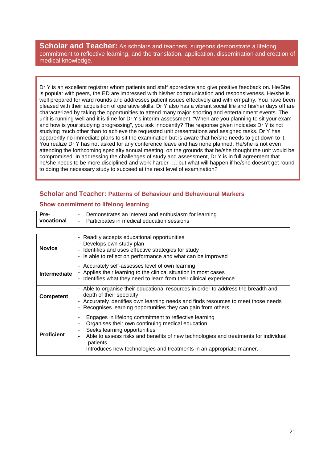**Scholar and Teacher:** As scholars and teachers, surgeons demonstrate a lifelong commitment to reflective learning, and the translation, application, dissemination and creation of medical knowledge.

Dr Y is an excellent registrar whom patients and staff appreciate and give positive feedback on. He/She is popular with peers, the ED are impressed with his/her communication and responsiveness. He/she is well prepared for ward rounds and addresses patient issues effectively and with empathy. You have been pleased with their acquisition of operative skills. Dr Y also has a vibrant social life and his/her days off are characterized by taking the opportunities to attend many major sporting and entertainment events. The unit is running well and it is time for Dr Y's interim assessment. "When are you planning to sit your exam and how is your studying progressing", you ask innocently? The response given indicates Dr Y is not studying much other than to achieve the requested unit presentations and assigned tasks. Dr Y has apparently no immediate plans to sit the examination but is aware that he/she needs to get down to it. You realize Dr Y has not asked for any conference leave and has none planned. He/she is not even attending the forthcoming specialty annual meeting, on the grounds that he/she thought the unit would be compromised. In addressing the challenges of study and assessment, Dr Y is in full agreement that he/she needs to be more disciplined and work harder …. but what will happen if he/she doesn't get round to doing the necessary study to succeed at the next level of examination?

#### **Scholar and Teacher: Patterns of Behaviour and Behavioural Markers**

#### **Show commitment to lifelong learning**

| Pre-                | Demonstrates an interest and enthusiasm for learning                                                                                                                                                                                                                                                                                                  |
|---------------------|-------------------------------------------------------------------------------------------------------------------------------------------------------------------------------------------------------------------------------------------------------------------------------------------------------------------------------------------------------|
| vocational          | Participates in medical education sessions<br>$\overline{\phantom{a}}$                                                                                                                                                                                                                                                                                |
|                     |                                                                                                                                                                                                                                                                                                                                                       |
| <b>Novice</b>       | - Readily accepts educational opportunities<br>Develops own study plan<br>- Identifies and uses effective strategies for study<br>- Is able to reflect on performance and what can be improved                                                                                                                                                        |
| <b>Intermediate</b> | - Accurately self-assesses level of own learning<br>- Applies their learning to the clinical situation in most cases<br>- Identifies what they need to learn from their clinical experience                                                                                                                                                           |
| <b>Competent</b>    | - Able to organise their educational resources in order to address the breadth and<br>depth of their specialty<br>- Accurately identifies own learning needs and finds resources to meet those needs<br>- Recognises learning opportunities they can gain from others                                                                                 |
| <b>Proficient</b>   | Engages in lifelong commitment to reflective learning<br>٠<br>Organises their own continuing medical education<br>Seeks learning opportunities<br>Able to assess risks and benefits of new technologies and treatments for individual<br>$\overline{\phantom{a}}$<br>patients<br>Introduces new technologies and treatments in an appropriate manner. |